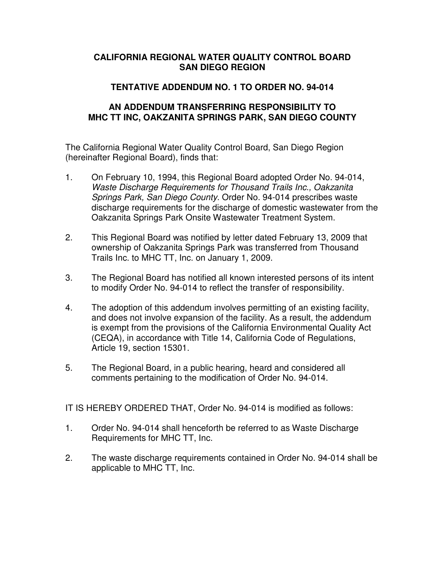## **CALIFORNIA REGIONAL WATER QUALITY CONTROL BOARD SAN DIEGO REGION**

## **TENTATIVE ADDENDUM NO. 1 TO ORDER NO. 94-014**

## **AN ADDENDUM TRANSFERRING RESPONSIBILITY TO MHC TT INC, OAKZANITA SPRINGS PARK, SAN DIEGO COUNTY**

The California Regional Water Quality Control Board, San Diego Region (hereinafter Regional Board), finds that:

- 1. On February 10, 1994, this Regional Board adopted Order No. 94-014, Waste Discharge Requirements for Thousand Trails Inc., Oakzanita Springs Park, San Diego County. Order No. 94-014 prescribes waste discharge requirements for the discharge of domestic wastewater from the Oakzanita Springs Park Onsite Wastewater Treatment System.
- 2. This Regional Board was notified by letter dated February 13, 2009 that ownership of Oakzanita Springs Park was transferred from Thousand Trails Inc. to MHC TT, Inc. on January 1, 2009.
- 3. The Regional Board has notified all known interested persons of its intent to modify Order No. 94-014 to reflect the transfer of responsibility.
- 4. The adoption of this addendum involves permitting of an existing facility, and does not involve expansion of the facility. As a result, the addendum is exempt from the provisions of the California Environmental Quality Act (CEQA), in accordance with Title 14, California Code of Regulations, Article 19, section 15301.
- 5. The Regional Board, in a public hearing, heard and considered all comments pertaining to the modification of Order No. 94-014.

IT IS HEREBY ORDERED THAT, Order No. 94-014 is modified as follows:

- 1. Order No. 94-014 shall henceforth be referred to as Waste Discharge Requirements for MHC TT, Inc.
- 2. The waste discharge requirements contained in Order No. 94-014 shall be applicable to MHC TT, Inc.